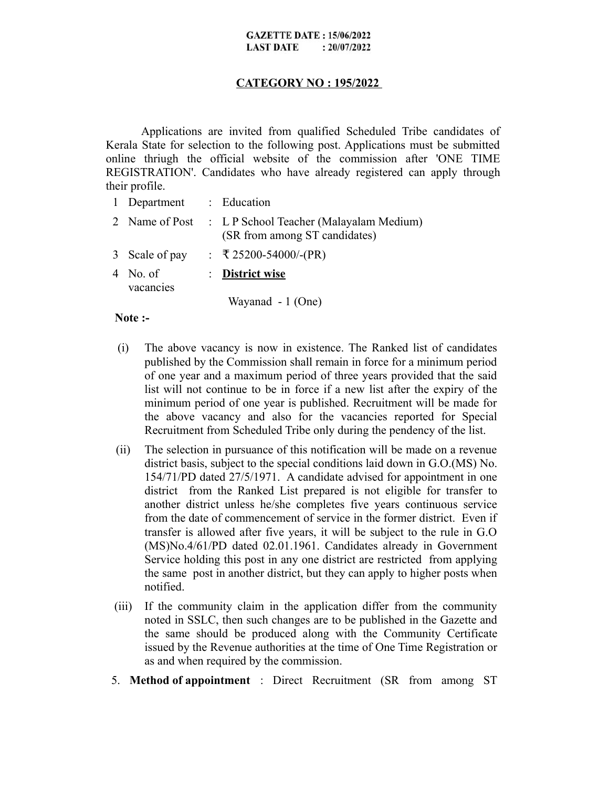#### **GAZETTE DATE: 15/06/2022 LAST DATE**  $: 20/07/2022$

## **CATEGORY NO : 195/2022**

Applications are invited from qualified Scheduled Tribe candidates of Kerala State for selection to the following post. Applications must be submitted online thriugh the official website of the commission after 'ONE TIME REGISTRATION'. Candidates who have already registered can apply through their profile.

| $\mathbf{1}$ | Department          | : Education                                                              |
|--------------|---------------------|--------------------------------------------------------------------------|
|              | 2 Name of Post      | : L P School Teacher (Malayalam Medium)<br>(SR from among ST candidates) |
|              | 3 Scale of pay      | : ₹25200-54000/-(PR)                                                     |
|              | No. of<br>vacancies | $\therefore$ District wise                                               |
|              |                     | Wayanad - 1 (One)                                                        |

### **Note :-**

- (i) The above vacancy is now in existence. The Ranked list of candidates published by the Commission shall remain in force for a minimum period of one year and a maximum period of three years provided that the said list will not continue to be in force if a new list after the expiry of the minimum period of one year is published. Recruitment will be made for the above vacancy and also for the vacancies reported for Special Recruitment from Scheduled Tribe only during the pendency of the list.
- (ii) The selection in pursuance of this notification will be made on a revenue district basis, subject to the special conditions laid down in G.O.(MS) No. 154/71/PD dated 27/5/1971. A candidate advised for appointment in one district from the Ranked List prepared is not eligible for transfer to another district unless he/she completes five years continuous service from the date of commencement of service in the former district. Even if transfer is allowed after five years, it will be subject to the rule in G.O (MS)No.4/61/PD dated 02.01.1961. Candidates already in Government Service holding this post in any one district are restricted from applying the same post in another district, but they can apply to higher posts when notified.
- (iii) If the community claim in the application differ from the community noted in SSLC, then such changes are to be published in the Gazette and the same should be produced along with the Community Certificate issued by the Revenue authorities at the time of One Time Registration or as and when required by the commission.
- 5. **Method of appointment** : Direct Recruitment (SR from among ST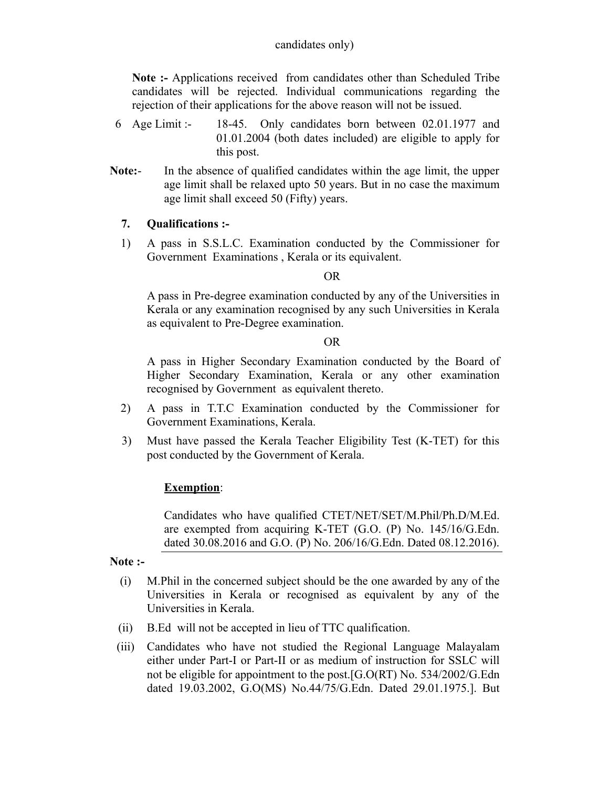**Note :-** Applications received from candidates other than Scheduled Tribe candidates will be rejected. Individual communications regarding the rejection of their applications for the above reason will not be issued.

- 6 Age Limit :- 18-45. Only candidates born between 02.01.1977 and 01.01.2004 (both dates included) are eligible to apply for this post.
- **Note:** In the absence of qualified candidates within the age limit, the upper age limit shall be relaxed upto 50 years. But in no case the maximum age limit shall exceed 50 (Fifty) years.

# **7. Qualifications :-**

1) A pass in S.S.L.C. Examination conducted by the Commissioner for Government Examinations , Kerala or its equivalent.

## OR

A pass in Pre-degree examination conducted by any of the Universities in Kerala or any examination recognised by any such Universities in Kerala as equivalent to Pre-Degree examination.

## OR

A pass in Higher Secondary Examination conducted by the Board of Higher Secondary Examination, Kerala or any other examination recognised by Government as equivalent thereto.

- 2) A pass in T.T.C Examination conducted by the Commissioner for Government Examinations, Kerala.
- 3) Must have passed the Kerala Teacher Eligibility Test (K-TET) for this post conducted by the Government of Kerala.

## **Exemption**:

Candidates who have qualified CTET/NET/SET/M.Phil/Ph.D/M.Ed. are exempted from acquiring K-TET (G.O. (P) No. 145/16/G.Edn. dated 30.08.2016 and G.O. (P) No. 206/16/G.Edn. Dated 08.12.2016).

### **Note :-**

- (i) M.Phil in the concerned subject should be the one awarded by any of the Universities in Kerala or recognised as equivalent by any of the Universities in Kerala.
- (ii) B.Ed will not be accepted in lieu of TTC qualification.
- (iii) Candidates who have not studied the Regional Language Malayalam either under Part-I or Part-II or as medium of instruction for SSLC will not be eligible for appointment to the post.[G.O(RT) No. 534/2002/G.Edn dated 19.03.2002, G.O(MS) No.44/75/G.Edn. Dated 29.01.1975.]. But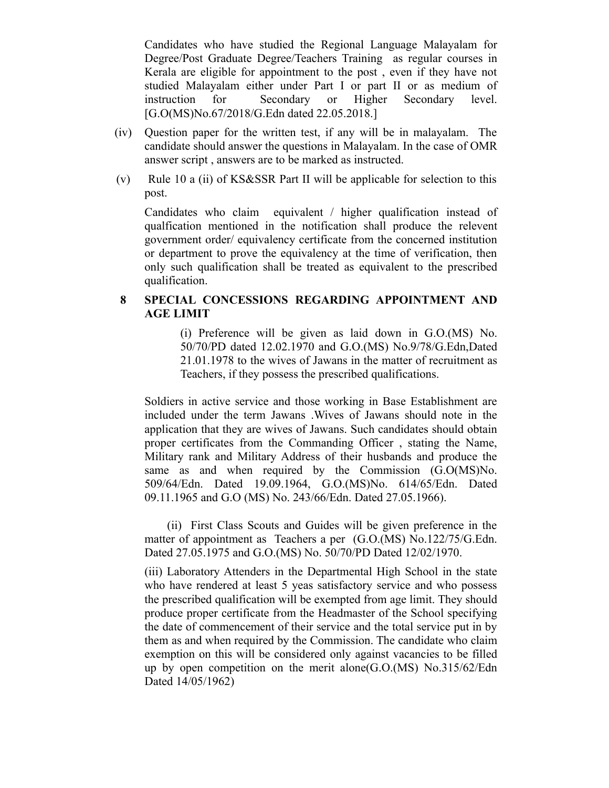Candidates who have studied the Regional Language Malayalam for Degree/Post Graduate Degree/Teachers Training as regular courses in Kerala are eligible for appointment to the post , even if they have not studied Malayalam either under Part I or part II or as medium of instruction for Secondary or Higher Secondary level. [G.O(MS)No.67/2018/G.Edn dated 22.05.2018.]

- (iv) Question paper for the written test, if any will be in malayalam. The candidate should answer the questions in Malayalam. In the case of OMR answer script , answers are to be marked as instructed.
- (v) Rule 10 a (ii) of KS&SSR Part II will be applicable for selection to this post.

Candidates who claim equivalent / higher qualification instead of qualfication mentioned in the notification shall produce the relevent government order/ equivalency certificate from the concerned institution or department to prove the equivalency at the time of verification, then only such qualification shall be treated as equivalent to the prescribed qualification.

# **8 SPECIAL CONCESSIONS REGARDING APPOINTMENT AND AGE LIMIT**

(i) Preference will be given as laid down in G.O.(MS) No. 50/70/PD dated 12.02.1970 and G.O.(MS) No.9/78/G.Edn,Dated 21.01.1978 to the wives of Jawans in the matter of recruitment as Teachers, if they possess the prescribed qualifications.

Soldiers in active service and those working in Base Establishment are included under the term Jawans .Wives of Jawans should note in the application that they are wives of Jawans. Such candidates should obtain proper certificates from the Commanding Officer , stating the Name, Military rank and Military Address of their husbands and produce the same as and when required by the Commission (G.O(MS)No. 509/64/Edn. Dated 19.09.1964, G.O.(MS)No. 614/65/Edn. Dated 09.11.1965 and G.O (MS) No. 243/66/Edn. Dated 27.05.1966).

 (ii) First Class Scouts and Guides will be given preference in the matter of appointment as Teachers a per (G.O.(MS) No.122/75/G.Edn. Dated 27.05.1975 and G.O.(MS) No. 50/70/PD Dated 12/02/1970.

(iii) Laboratory Attenders in the Departmental High School in the state who have rendered at least 5 yeas satisfactory service and who possess the prescribed qualification will be exempted from age limit. They should produce proper certificate from the Headmaster of the School specifying the date of commencement of their service and the total service put in by them as and when required by the Commission. The candidate who claim exemption on this will be considered only against vacancies to be filled up by open competition on the merit alone(G.O.(MS) No.315/62/Edn Dated 14/05/1962)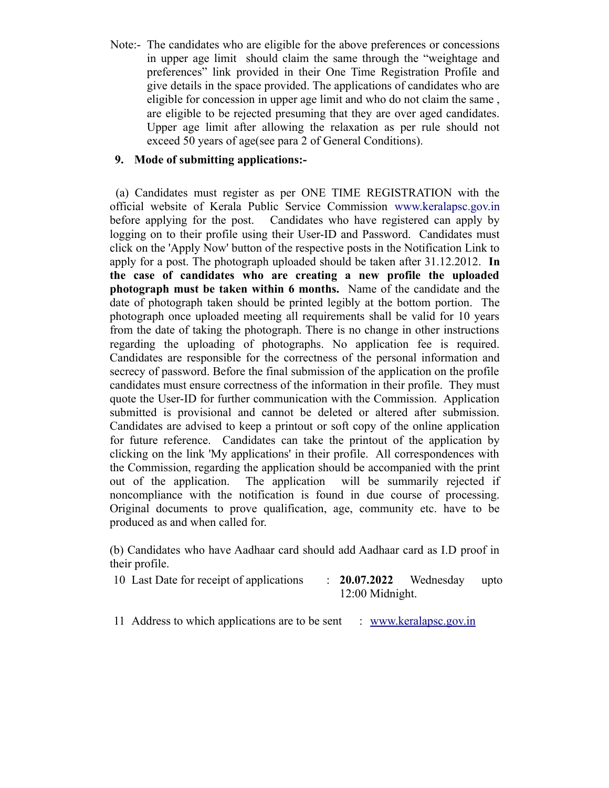Note:- The candidates who are eligible for the above preferences or concessions in upper age limit should claim the same through the "weightage and preferences" link provided in their One Time Registration Profile and give details in the space provided. The applications of candidates who are eligible for concession in upper age limit and who do not claim the same , are eligible to be rejected presuming that they are over aged candidates. Upper age limit after allowing the relaxation as per rule should not exceed 50 years of age(see para 2 of General Conditions).

# **9. Mode of submitting applications:-**

(a) Candidates must register as per ONE TIME REGISTRATION with the official website of Kerala Public Service Commission [www.keralapsc.gov.in](http://www.keralapsc.gov.in/) before applying for the post. Candidates who have registered can apply by logging on to their profile using their User-ID and Password. Candidates must click on the 'Apply Now' button of the respective posts in the Notification Link to apply for a post. The photograph uploaded should be taken after 31.12.2012. **In the case of candidates who are creating a new profile the uploaded photograph must be taken within 6 months.** Name of the candidate and the date of photograph taken should be printed legibly at the bottom portion. The photograph once uploaded meeting all requirements shall be valid for 10 years from the date of taking the photograph. There is no change in other instructions regarding the uploading of photographs. No application fee is required. Candidates are responsible for the correctness of the personal information and secrecy of password. Before the final submission of the application on the profile candidates must ensure correctness of the information in their profile. They must quote the User-ID for further communication with the Commission. Application submitted is provisional and cannot be deleted or altered after submission. Candidates are advised to keep a printout or soft copy of the online application for future reference. Candidates can take the printout of the application by clicking on the link 'My applications' in their profile. All correspondences with the Commission, regarding the application should be accompanied with the print out of the application. The application will be summarily rejected if noncompliance with the notification is found in due course of processing. Original documents to prove qualification, age, community etc. have to be produced as and when called for.

(b) Candidates who have Aadhaar card should add Aadhaar card as I.D proof in their profile.

- 10 Last Date for receipt of applications : **20.07.2022** Wednesday upto 12:00 Midnight.
- 11 Address to which applications are to be sent : [www.keralapsc.go](http://www.keralapsc.org/)v.in